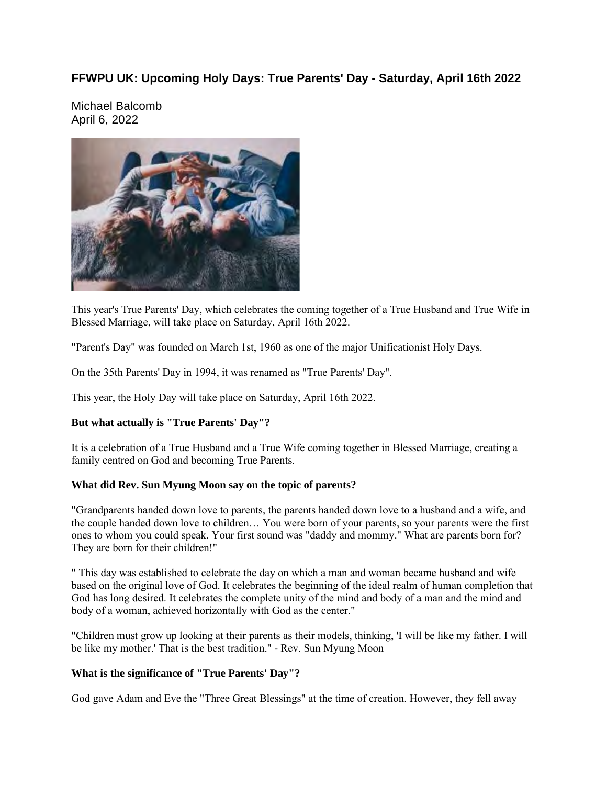## **FFWPU UK: Upcoming Holy Days: True Parents' Day - Saturday, April 16th 2022**

Michael Balcomb April 6, 2022



This year's True Parents' Day, which celebrates the coming together of a True Husband and True Wife in Blessed Marriage, will take place on Saturday, April 16th 2022.

"Parent's Day" was founded on March 1st, 1960 as one of the major Unificationist Holy Days.

On the 35th Parents' Day in 1994, it was renamed as "True Parents' Day".

This year, the Holy Day will take place on Saturday, April 16th 2022.

## **But what actually is "True Parents' Day"?**

It is a celebration of a True Husband and a True Wife coming together in Blessed Marriage, creating a family centred on God and becoming True Parents.

## **What did Rev. Sun Myung Moon say on the topic of parents?**

"Grandparents handed down love to parents, the parents handed down love to a husband and a wife, and the couple handed down love to children… You were born of your parents, so your parents were the first ones to whom you could speak. Your first sound was "daddy and mommy." What are parents born for? They are born for their children!"

" This day was established to celebrate the day on which a man and woman became husband and wife based on the original love of God. It celebrates the beginning of the ideal realm of human completion that God has long desired. It celebrates the complete unity of the mind and body of a man and the mind and body of a woman, achieved horizontally with God as the center."

"Children must grow up looking at their parents as their models, thinking, 'I will be like my father. I will be like my mother.' That is the best tradition." - Rev. Sun Myung Moon

## **What is the significance of "True Parents' Day"?**

God gave Adam and Eve the "Three Great Blessings" at the time of creation. However, they fell away